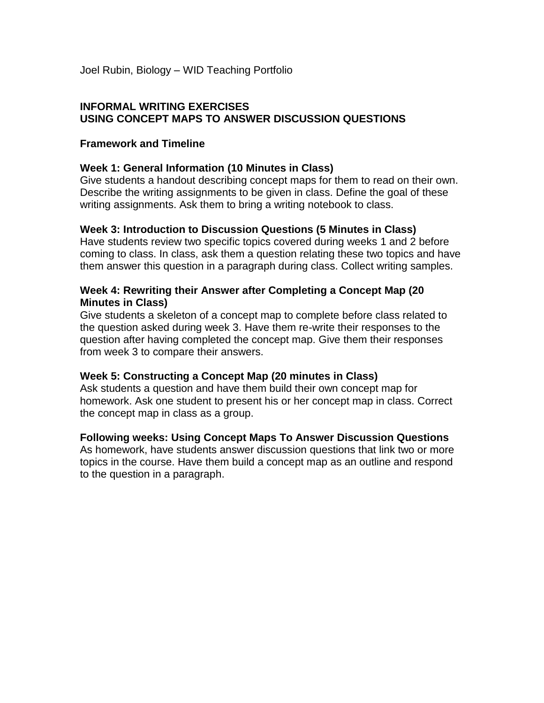Joel Rubin, Biology – WID Teaching Portfolio

#### **INFORMAL WRITING EXERCISES USING CONCEPT MAPS TO ANSWER DISCUSSION QUESTIONS**

#### **Framework and Timeline**

### **Week 1: General Information (10 Minutes in Class)**

Give students a handout describing concept maps for them to read on their own. Describe the writing assignments to be given in class. Define the goal of these writing assignments. Ask them to bring a writing notebook to class.

#### **Week 3: Introduction to Discussion Questions (5 Minutes in Class)**

Have students review two specific topics covered during weeks 1 and 2 before coming to class. In class, ask them a question relating these two topics and have them answer this question in a paragraph during class. Collect writing samples.

### **Week 4: Rewriting their Answer after Completing a Concept Map (20 Minutes in Class)**

Give students a skeleton of a concept map to complete before class related to the question asked during week 3. Have them re-write their responses to the question after having completed the concept map. Give them their responses from week 3 to compare their answers.

#### **Week 5: Constructing a Concept Map (20 minutes in Class)**

Ask students a question and have them build their own concept map for homework. Ask one student to present his or her concept map in class. Correct the concept map in class as a group.

#### **Following weeks: Using Concept Maps To Answer Discussion Questions**

As homework, have students answer discussion questions that link two or more topics in the course. Have them build a concept map as an outline and respond to the question in a paragraph.